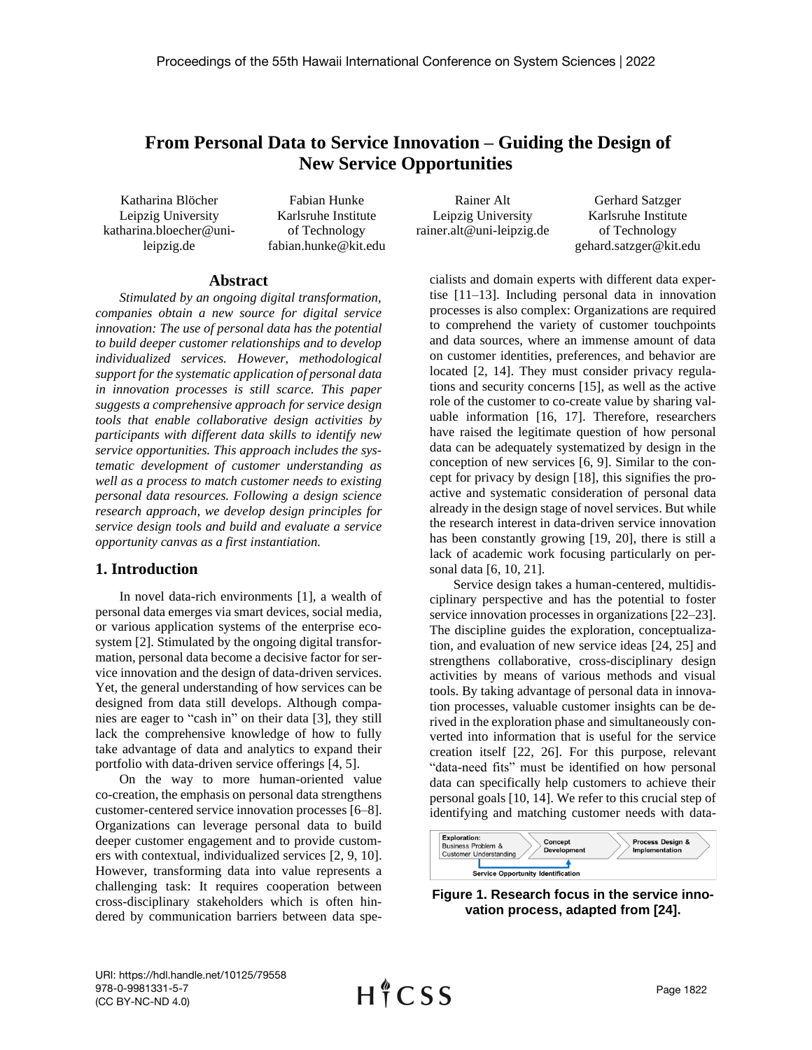# **From Personal Data to Service Innovation – Guiding the Design of New Service Opportunities**

Katharina Blöcher Leipzig University katharina.bloecher@unileipzig.de

Fabian Hunke Karlsruhe Institute of Technology fabian.hunke@kit.edu

Rainer Alt Leipzig University rainer.alt@uni-leipzig.de

Gerhard Satzger Karlsruhe Institute of Technology gehard.satzger@kit.edu

#### **Abstract**

*Stimulated by an ongoing digital transformation, companies obtain a new source for digital service innovation: The use of personal data has the potential to build deeper customer relationships and to develop individualized services. However, methodological support for the systematic application of personal data in innovation processes is still scarce. This paper suggests a comprehensive approach for service design tools that enable collaborative design activities by participants with different data skills to identify new service opportunities. This approach includes the systematic development of customer understanding as well as a process to match customer needs to existing personal data resources. Following a design science research approach, we develop design principles for service design tools and build and evaluate a service opportunity canvas as a first instantiation.*

## **1. Introduction**

In novel data-rich environments [1], a wealth of personal data emerges via smart devices, social media, or various application systems of the enterprise ecosystem [2]. Stimulated by the ongoing digital transformation, personal data become a decisive factor for service innovation and the design of data-driven services. Yet, the general understanding of how services can be designed from data still develops. Although companies are eager to "cash in" on their data [3], they still lack the comprehensive knowledge of how to fully take advantage of data and analytics to expand their portfolio with data-driven service offerings [4, 5].

On the way to more human-oriented value co-creation, the emphasis on personal data strengthens customer-centered service innovation processes [6–8]. Organizations can leverage personal data to build deeper customer engagement and to provide customers with contextual, individualized services [2, 9, 10]. However, transforming data into value represents a challenging task: It requires cooperation between cross-disciplinary stakeholders which is often hindered by communication barriers between data specialists and domain experts with different data expertise [11–13]. Including personal data in innovation processes is also complex: Organizations are required to comprehend the variety of customer touchpoints and data sources, where an immense amount of data on customer identities, preferences, and behavior are located [2, 14]. They must consider privacy regulations and security concerns [15], as well as the active role of the customer to co-create value by sharing valuable information [16, 17]. Therefore, researchers have raised the legitimate question of how personal data can be adequately systematized by design in the conception of new services [6, 9]. Similar to the concept for privacy by design [18], this signifies the proactive and systematic consideration of personal data already in the design stage of novel services. But while the research interest in data-driven service innovation has been constantly growing [19, 20], there is still a lack of academic work focusing particularly on personal data [6, 10, 21].

Service design takes a human-centered, multidisciplinary perspective and has the potential to foster service innovation processes in organizations [22–23]. The discipline guides the exploration, conceptualization, and evaluation of new service ideas [24, 25] and strengthens collaborative, cross-disciplinary design activities by means of various methods and visual tools. By taking advantage of personal data in innovation processes, valuable customer insights can be derived in the exploration phase and simultaneously converted into information that is useful for the service creation itself [22, 26]. For this purpose, relevant "data-need fits" must be identified on how personal data can specifically help customers to achieve their personal goals [10, 14]. We refer to this crucial step of identifying and matching customer needs with data-



**Figure 1. Research focus in the service innovation process, adapted from [24].**

URI: https://hdl.handle.net/10125/79558 978-0-9981331-5-7 (CC BY-NC-ND 4.0)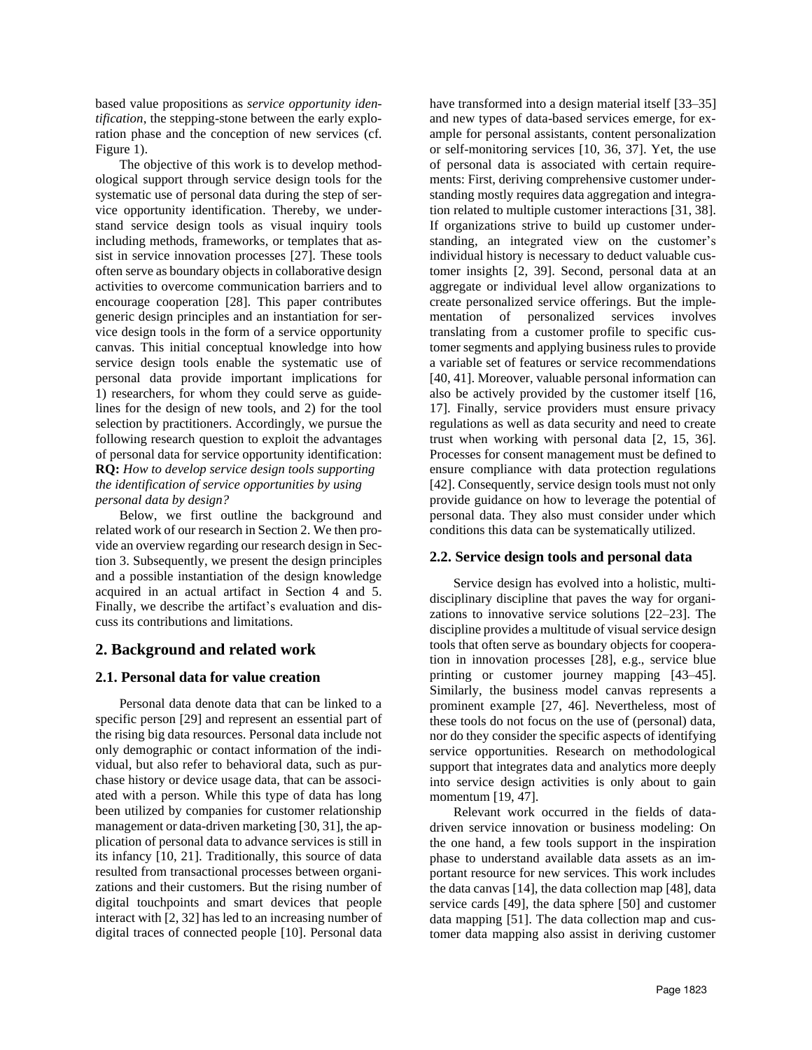based value propositions as *service opportunity identification*, the stepping-stone between the early exploration phase and the conception of new services (cf. Figure 1).

The objective of this work is to develop methodological support through service design tools for the systematic use of personal data during the step of service opportunity identification. Thereby, we understand service design tools as visual inquiry tools including methods, frameworks, or templates that assist in service innovation processes [27]. These tools often serve as boundary objects in collaborative design activities to overcome communication barriers and to encourage cooperation [28]. This paper contributes generic design principles and an instantiation for service design tools in the form of a service opportunity canvas. This initial conceptual knowledge into how service design tools enable the systematic use of personal data provide important implications for 1) researchers, for whom they could serve as guidelines for the design of new tools, and 2) for the tool selection by practitioners. Accordingly, we pursue the following research question to exploit the advantages of personal data for service opportunity identification: **RQ:** *How to develop service design tools supporting the identification of service opportunities by using personal data by design?* 

Below, we first outline the background and related work of our research in Section 2. We then provide an overview regarding our research design in Section 3. Subsequently, we present the design principles and a possible instantiation of the design knowledge acquired in an actual artifact in Section 4 and 5. Finally, we describe the artifact's evaluation and discuss its contributions and limitations.

# **2. Background and related work**

## **2.1. Personal data for value creation**

Personal data denote data that can be linked to a specific person [29] and represent an essential part of the rising big data resources. Personal data include not only demographic or contact information of the individual, but also refer to behavioral data, such as purchase history or device usage data, that can be associated with a person. While this type of data has long been utilized by companies for customer relationship management or data-driven marketing [30, 31], the application of personal data to advance services is still in its infancy [10, 21]. Traditionally, this source of data resulted from transactional processes between organizations and their customers. But the rising number of digital touchpoints and smart devices that people interact with [2, 32] has led to an increasing number of digital traces of connected people [10]. Personal data have transformed into a design material itself [33–35] and new types of data-based services emerge, for example for personal assistants, content personalization or self-monitoring services [10, 36, 37]. Yet, the use of personal data is associated with certain requirements: First, deriving comprehensive customer understanding mostly requires data aggregation and integration related to multiple customer interactions [31, 38]. If organizations strive to build up customer understanding, an integrated view on the customer's individual history is necessary to deduct valuable customer insights [2, 39]. Second, personal data at an aggregate or individual level allow organizations to create personalized service offerings. But the implementation of personalized services involves translating from a customer profile to specific customer segments and applying business rules to provide a variable set of features or service recommendations [40, 41]. Moreover, valuable personal information can also be actively provided by the customer itself [16, 17]. Finally, service providers must ensure privacy regulations as well as data security and need to create trust when working with personal data [2, 15, 36]. Processes for consent management must be defined to ensure compliance with data protection regulations [42]. Consequently, service design tools must not only provide guidance on how to leverage the potential of personal data. They also must consider under which conditions this data can be systematically utilized.

## **2.2. Service design tools and personal data**

Service design has evolved into a holistic, multidisciplinary discipline that paves the way for organizations to innovative service solutions [22–23]. The discipline provides a multitude of visual service design tools that often serve as boundary objects for cooperation in innovation processes [28], e.g., service blue printing or customer journey mapping [43–45]. Similarly, the business model canvas represents a prominent example [27, 46]. Nevertheless, most of these tools do not focus on the use of (personal) data, nor do they consider the specific aspects of identifying service opportunities. Research on methodological support that integrates data and analytics more deeply into service design activities is only about to gain momentum [19, 47].

Relevant work occurred in the fields of datadriven service innovation or business modeling: On the one hand, a few tools support in the inspiration phase to understand available data assets as an important resource for new services. This work includes the data canvas [14], the data collection map [48], data service cards [49], the data sphere [50] and customer data mapping [51]. The data collection map and customer data mapping also assist in deriving customer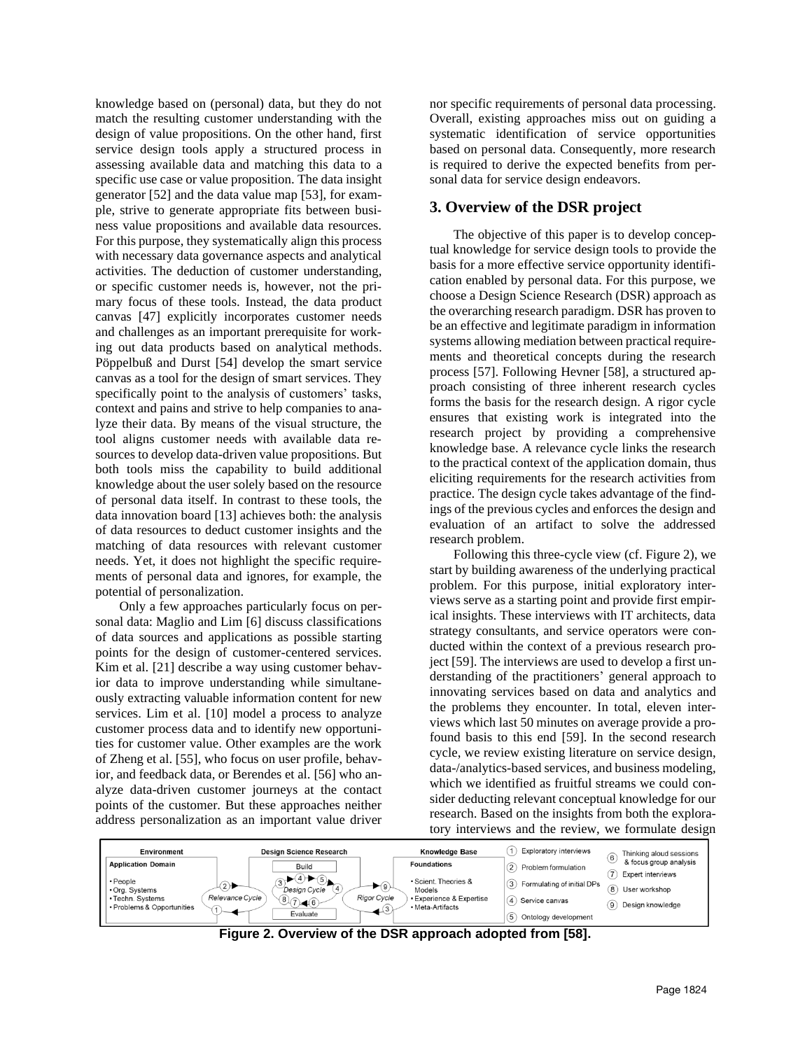knowledge based on (personal) data, but they do not match the resulting customer understanding with the design of value propositions. On the other hand, first service design tools apply a structured process in assessing available data and matching this data to a specific use case or value proposition. The data insight generator [52] and the data value map [53], for example, strive to generate appropriate fits between business value propositions and available data resources. For this purpose, they systematically align this process with necessary data governance aspects and analytical activities. The deduction of customer understanding, or specific customer needs is, however, not the primary focus of these tools. Instead, the data product canvas [47] explicitly incorporates customer needs and challenges as an important prerequisite for working out data products based on analytical methods. Pöppelbuß and Durst [54] develop the smart service canvas as a tool for the design of smart services. They specifically point to the analysis of customers' tasks, context and pains and strive to help companies to analyze their data. By means of the visual structure, the tool aligns customer needs with available data resources to develop data-driven value propositions. But both tools miss the capability to build additional knowledge about the user solely based on the resource of personal data itself. In contrast to these tools, the data innovation board [13] achieves both: the analysis of data resources to deduct customer insights and the matching of data resources with relevant customer needs. Yet, it does not highlight the specific requirements of personal data and ignores, for example, the potential of personalization.

Only a few approaches particularly focus on personal data: Maglio and Lim [6] discuss classifications of data sources and applications as possible starting points for the design of customer-centered services. Kim et al. [21] describe a way using customer behavior data to improve understanding while simultaneously extracting valuable information content for new services. Lim et al. [10] model a process to analyze customer process data and to identify new opportunities for customer value. Other examples are the work of Zheng et al. [55], who focus on user profile, behavior, and feedback data, or Berendes et al. [56] who analyze data-driven customer journeys at the contact points of the customer. But these approaches neither address personalization as an important value driver nor specific requirements of personal data processing. Overall, existing approaches miss out on guiding a systematic identification of service opportunities based on personal data. Consequently, more research is required to derive the expected benefits from personal data for service design endeavors.

## **3. Overview of the DSR project**

The objective of this paper is to develop conceptual knowledge for service design tools to provide the basis for a more effective service opportunity identification enabled by personal data. For this purpose, we choose a Design Science Research (DSR) approach as the overarching research paradigm. DSR has proven to be an effective and legitimate paradigm in information systems allowing mediation between practical requirements and theoretical concepts during the research process [57]. Following Hevner [58], a structured approach consisting of three inherent research cycles forms the basis for the research design. A rigor cycle ensures that existing work is integrated into the research project by providing a comprehensive knowledge base. A relevance cycle links the research to the practical context of the application domain, thus eliciting requirements for the research activities from practice. The design cycle takes advantage of the findings of the previous cycles and enforces the design and evaluation of an artifact to solve the addressed research problem.

Following this three-cycle view (cf. Figure 2), we start by building awareness of the underlying practical problem. For this purpose, initial exploratory interviews serve as a starting point and provide first empirical insights. These interviews with IT architects, data strategy consultants, and service operators were conducted within the context of a previous research project [59]. The interviews are used to develop a first understanding of the practitioners' general approach to innovating services based on data and analytics and the problems they encounter. In total, eleven interviews which last 50 minutes on average provide a profound basis to this end [59]. In the second research cycle, we review existing literature on service design, data-/analytics-based services, and business modeling, which we identified as fruitful streams we could consider deducting relevant conceptual knowledge for our research. Based on the insights from both the exploratory interviews and the review, we formulate design



**Figure 2. Overview of the DSR approach adopted from [58].**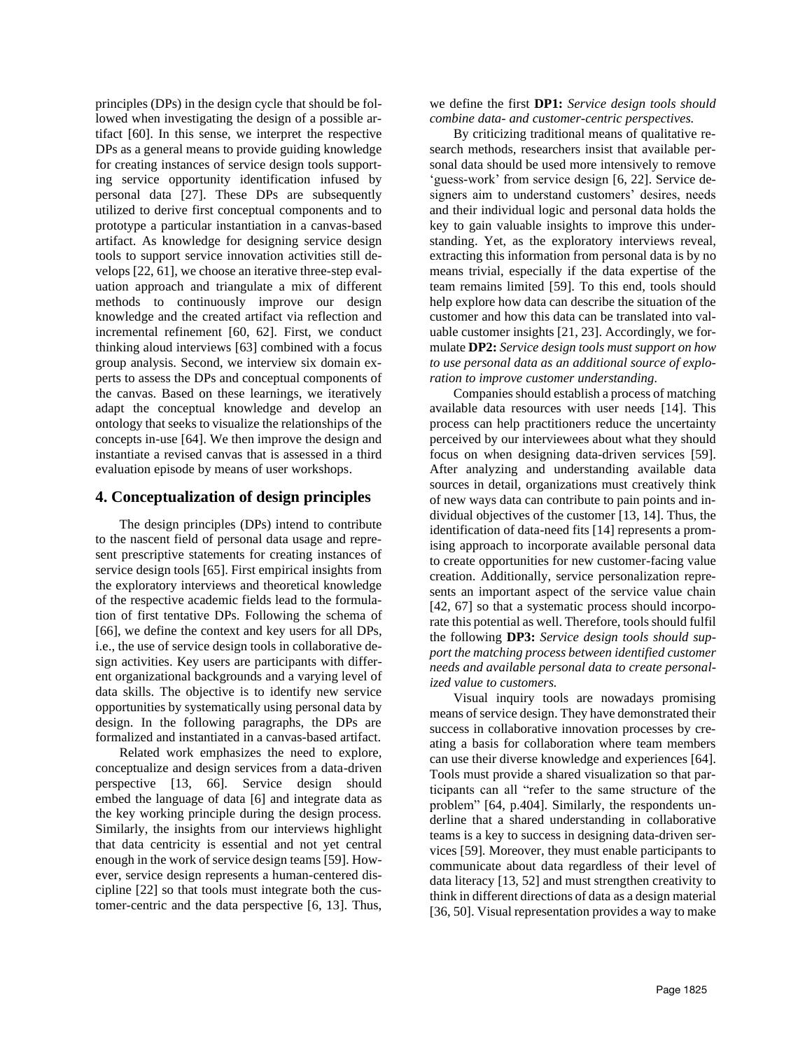principles (DPs) in the design cycle that should be followed when investigating the design of a possible artifact [60]. In this sense, we interpret the respective DPs as a general means to provide guiding knowledge for creating instances of service design tools supporting service opportunity identification infused by personal data [27]. These DPs are subsequently utilized to derive first conceptual components and to prototype a particular instantiation in a canvas-based artifact. As knowledge for designing service design tools to support service innovation activities still develops [22, 61], we choose an iterative three-step evaluation approach and triangulate a mix of different methods to continuously improve our design knowledge and the created artifact via reflection and incremental refinement [60, 62]. First, we conduct thinking aloud interviews [63] combined with a focus group analysis. Second, we interview six domain experts to assess the DPs and conceptual components of the canvas. Based on these learnings, we iteratively adapt the conceptual knowledge and develop an ontology that seeks to visualize the relationships of the concepts in-use [64]. We then improve the design and instantiate a revised canvas that is assessed in a third evaluation episode by means of user workshops.

## **4. Conceptualization of design principles**

The design principles (DPs) intend to contribute to the nascent field of personal data usage and represent prescriptive statements for creating instances of service design tools [65]. First empirical insights from the exploratory interviews and theoretical knowledge of the respective academic fields lead to the formulation of first tentative DPs. Following the schema of [66], we define the context and key users for all DPs, i.e., the use of service design tools in collaborative design activities. Key users are participants with different organizational backgrounds and a varying level of data skills. The objective is to identify new service opportunities by systematically using personal data by design. In the following paragraphs, the DPs are formalized and instantiated in a canvas-based artifact.

Related work emphasizes the need to explore, conceptualize and design services from a data-driven perspective [13, 66]. Service design should embed the language of data [6] and integrate data as the key working principle during the design process. Similarly, the insights from our interviews highlight that data centricity is essential and not yet central enough in the work of service design teams [59]. However, service design represents a human-centered discipline [22] so that tools must integrate both the customer-centric and the data perspective [6, 13]. Thus, we define the first **DP1:** *Service design tools should combine data- and customer-centric perspectives.*

By criticizing traditional means of qualitative research methods, researchers insist that available personal data should be used more intensively to remove 'guess-work' from service design [6, 22]. Service designers aim to understand customers' desires, needs and their individual logic and personal data holds the key to gain valuable insights to improve this understanding. Yet, as the exploratory interviews reveal, extracting this information from personal data is by no means trivial, especially if the data expertise of the team remains limited [59]. To this end, tools should help explore how data can describe the situation of the customer and how this data can be translated into valuable customer insights [21, 23]. Accordingly, we formulate **DP2:** *Service design tools must support on how to use personal data as an additional source of exploration to improve customer understanding.*

Companies should establish a process of matching available data resources with user needs [14]. This process can help practitioners reduce the uncertainty perceived by our interviewees about what they should focus on when designing data-driven services [59]. After analyzing and understanding available data sources in detail, organizations must creatively think of new ways data can contribute to pain points and individual objectives of the customer [13, 14]. Thus, the identification of data-need fits [14] represents a promising approach to incorporate available personal data to create opportunities for new customer-facing value creation. Additionally, service personalization represents an important aspect of the service value chain [42, 67] so that a systematic process should incorporate this potential as well. Therefore, tools should fulfil the following **DP3:** *Service design tools should support the matching process between identified customer needs and available personal data to create personalized value to customers.*

Visual inquiry tools are nowadays promising means of service design. They have demonstrated their success in collaborative innovation processes by creating a basis for collaboration where team members can use their diverse knowledge and experiences [64]. Tools must provide a shared visualization so that participants can all "refer to the same structure of the problem" [64, p.404]. Similarly, the respondents underline that a shared understanding in collaborative teams is a key to success in designing data-driven services [59]. Moreover, they must enable participants to communicate about data regardless of their level of data literacy [13, 52] and must strengthen creativity to think in different directions of data as a design material [36, 50]. Visual representation provides a way to make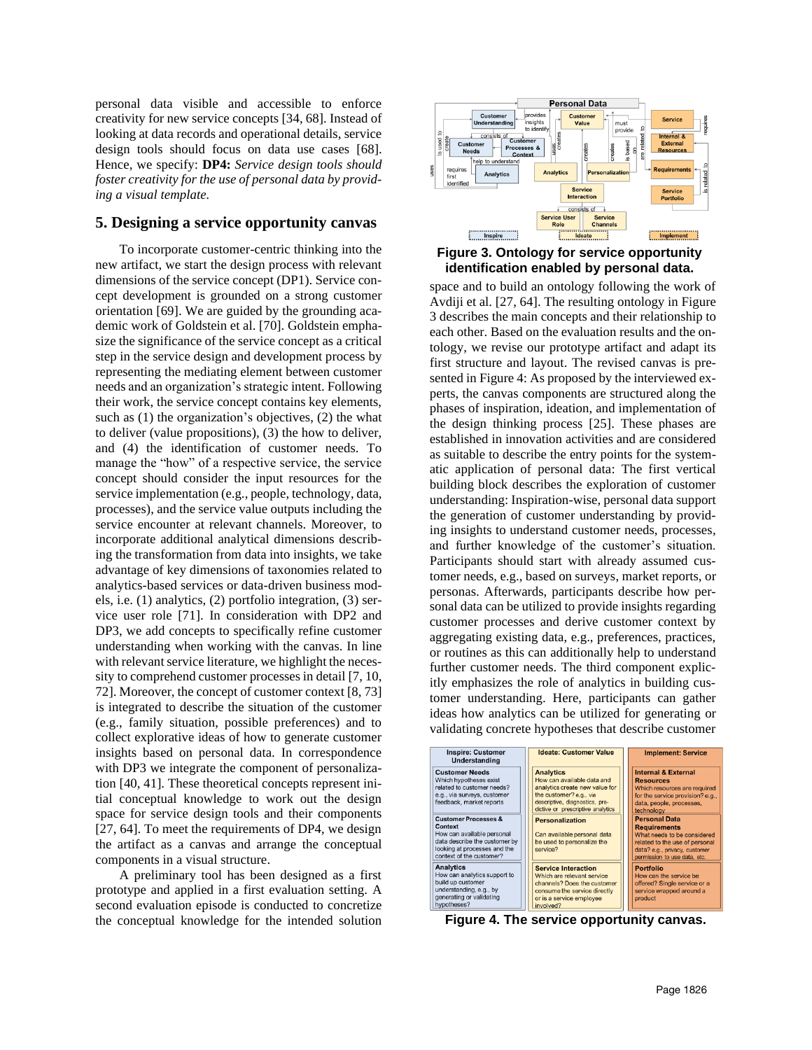personal data visible and accessible to enforce creativity for new service concepts [34, 68]. Instead of looking at data records and operational details, service design tools should focus on data use cases [68]. Hence, we specify: **DP4:** *Service design tools should foster creativity for the use of personal data by providing a visual template.*

#### **5. Designing a service opportunity canvas**

To incorporate customer-centric thinking into the new artifact, we start the design process with relevant dimensions of the service concept (DP1). Service concept development is grounded on a strong customer orientation [69]. We are guided by the grounding academic work of Goldstein et al. [70]. Goldstein emphasize the significance of the service concept as a critical step in the service design and development process by representing the mediating element between customer needs and an organization's strategic intent. Following their work, the service concept contains key elements, such as (1) the organization's objectives, (2) the what to deliver (value propositions), (3) the how to deliver, and (4) the identification of customer needs. To manage the "how" of a respective service, the service concept should consider the input resources for the service implementation (e.g., people, technology, data, processes), and the service value outputs including the service encounter at relevant channels. Moreover, to incorporate additional analytical dimensions describing the transformation from data into insights, we take advantage of key dimensions of taxonomies related to analytics-based services or data-driven business models, i.e. (1) analytics, (2) portfolio integration, (3) service user role [71]. In consideration with DP2 and DP3, we add concepts to specifically refine customer understanding when working with the canvas. In line with relevant service literature, we highlight the necessity to comprehend customer processes in detail [7, 10, 72]. Moreover, the concept of customer context [8, 73] is integrated to describe the situation of the customer (e.g., family situation, possible preferences) and to collect explorative ideas of how to generate customer insights based on personal data. In correspondence with DP3 we integrate the component of personalization [40, 41]. These theoretical concepts represent initial conceptual knowledge to work out the design space for service design tools and their components [27, 64]. To meet the requirements of DP4, we design the artifact as a canvas and arrange the conceptual components in a visual structure.

A preliminary tool has been designed as a first prototype and applied in a first evaluation setting. A second evaluation episode is conducted to concretize the conceptual knowledge for the intended solution



#### **Figure 3. Ontology for service opportunity identification enabled by personal data.**

space and to build an ontology following the work of Avdiji et al. [27, 64]. The resulting ontology in Figure 3 describes the main concepts and their relationship to each other. Based on the evaluation results and the ontology, we revise our prototype artifact and adapt its first structure and layout. The revised canvas is presented in Figure 4: As proposed by the interviewed experts, the canvas components are structured along the phases of inspiration, ideation, and implementation of the design thinking process [25]. These phases are established in innovation activities and are considered as suitable to describe the entry points for the systematic application of personal data: The first vertical building block describes the exploration of customer understanding: Inspiration-wise, personal data support the generation of customer understanding by providing insights to understand customer needs, processes, and further knowledge of the customer's situation. Participants should start with already assumed customer needs, e.g., based on surveys, market reports, or personas. Afterwards, participants describe how personal data can be utilized to provide insights regarding customer processes and derive customer context by aggregating existing data, e.g., preferences, practices, or routines as this can additionally help to understand further customer needs. The third component explicitly emphasizes the role of analytics in building customer understanding. Here, participants can gather ideas how analytics can be utilized for generating or validating concrete hypotheses that describe customer



**Figure 4. The service opportunity canvas.**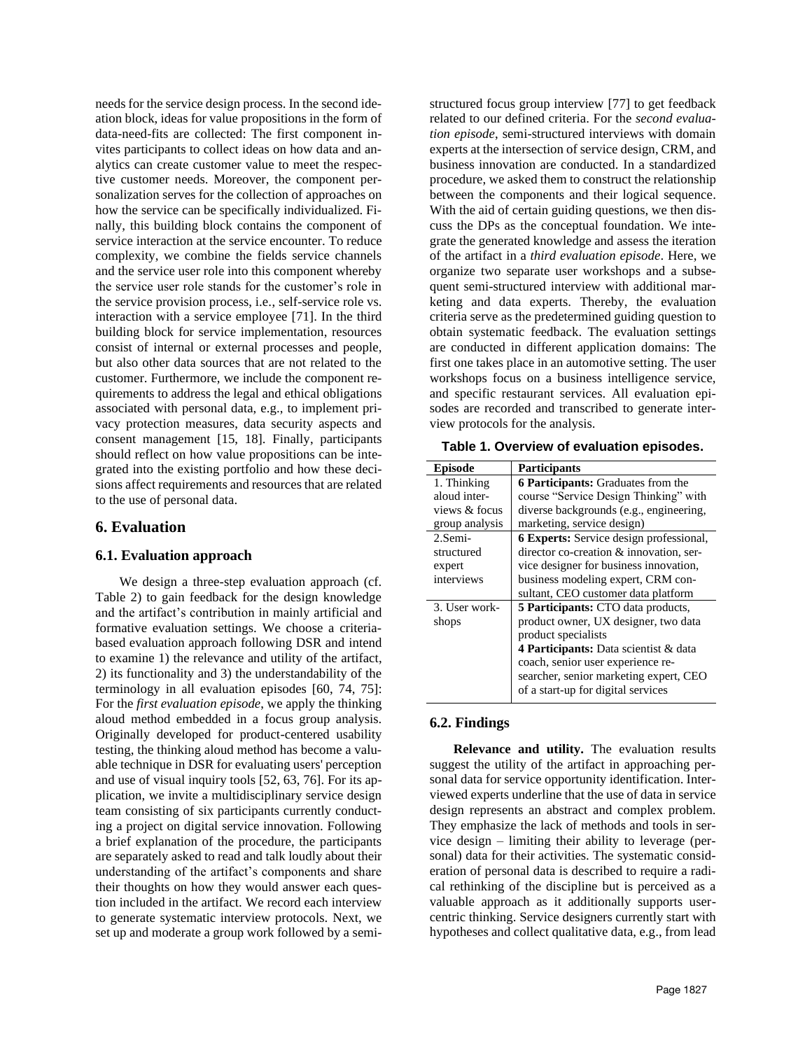needs for the service design process. In the second ideation block, ideas for value propositions in the form of data-need-fits are collected: The first component invites participants to collect ideas on how data and analytics can create customer value to meet the respective customer needs. Moreover, the component personalization serves for the collection of approaches on how the service can be specifically individualized. Finally, this building block contains the component of service interaction at the service encounter. To reduce complexity, we combine the fields service channels and the service user role into this component whereby the service user role stands for the customer's role in the service provision process, i.e., self-service role vs. interaction with a service employee [71]. In the third building block for service implementation, resources consist of internal or external processes and people, but also other data sources that are not related to the customer. Furthermore, we include the component requirements to address the legal and ethical obligations associated with personal data, e.g., to implement privacy protection measures, data security aspects and consent management [15, 18]. Finally, participants should reflect on how value propositions can be integrated into the existing portfolio and how these decisions affect requirements and resources that are related to the use of personal data.

### **6. Evaluation**

#### **6.1. Evaluation approach**

We design a three-step evaluation approach (cf. Table 2) to gain feedback for the design knowledge and the artifact's contribution in mainly artificial and formative evaluation settings. We choose a criteriabased evaluation approach following DSR and intend to examine 1) the relevance and utility of the artifact, 2) its functionality and 3) the understandability of the terminology in all evaluation episodes [60, 74, 75]: For the *first evaluation episode*, we apply the thinking aloud method embedded in a focus group analysis. Originally developed for product-centered usability testing, the thinking aloud method has become a valuable technique in DSR for evaluating users' perception and use of visual inquiry tools [52, 63, 76]. For its application, we invite a multidisciplinary service design team consisting of six participants currently conducting a project on digital service innovation. Following a brief explanation of the procedure, the participants are separately asked to read and talk loudly about their understanding of the artifact's components and share their thoughts on how they would answer each question included in the artifact. We record each interview to generate systematic interview protocols. Next, we set up and moderate a group work followed by a semistructured focus group interview [77] to get feedback related to our defined criteria. For the *second evaluation episode*, semi-structured interviews with domain experts at the intersection of service design, CRM, and business innovation are conducted. In a standardized procedure, we asked them to construct the relationship between the components and their logical sequence. With the aid of certain guiding questions, we then discuss the DPs as the conceptual foundation. We integrate the generated knowledge and assess the iteration of the artifact in a *third evaluation episode*. Here, we organize two separate user workshops and a subsequent semi-structured interview with additional marketing and data experts. Thereby, the evaluation criteria serve as the predetermined guiding question to obtain systematic feedback. The evaluation settings are conducted in different application domains: The first one takes place in an automotive setting. The user workshops focus on a business intelligence service, and specific restaurant services. All evaluation episodes are recorded and transcribed to generate interview protocols for the analysis.

**Table 1. Overview of evaluation episodes.**

| <b>Participants</b>                            |
|------------------------------------------------|
| <b>6 Participants:</b> Graduates from the      |
| course "Service Design Thinking" with          |
| diverse backgrounds (e.g., engineering,        |
| marketing, service design)                     |
| <b>6 Experts:</b> Service design professional, |
| director co-creation & innovation, ser-        |
| vice designer for business innovation,         |
| business modeling expert, CRM con-             |
| sultant, CEO customer data platform            |
| <b>5 Participants:</b> CTO data products,      |
| product owner, UX designer, two data           |
| product specialists                            |
| 4 Participants: Data scientist & data          |
| coach, senior user experience re-              |
| searcher, senior marketing expert, CEO         |
| of a start-up for digital services             |
|                                                |

## **6.2. Findings**

**Relevance and utility.** The evaluation results suggest the utility of the artifact in approaching personal data for service opportunity identification. Interviewed experts underline that the use of data in service design represents an abstract and complex problem. They emphasize the lack of methods and tools in service design – limiting their ability to leverage (personal) data for their activities. The systematic consideration of personal data is described to require a radical rethinking of the discipline but is perceived as a valuable approach as it additionally supports usercentric thinking. Service designers currently start with hypotheses and collect qualitative data, e.g., from lead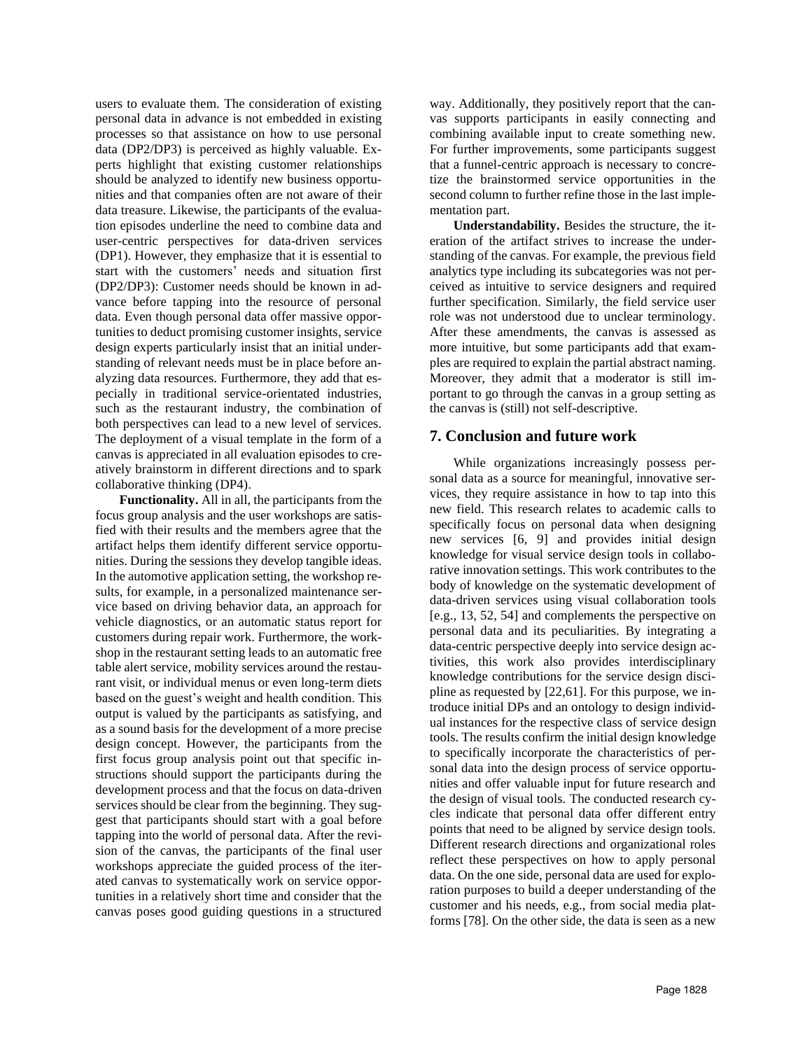users to evaluate them. The consideration of existing personal data in advance is not embedded in existing processes so that assistance on how to use personal data (DP2/DP3) is perceived as highly valuable. Experts highlight that existing customer relationships should be analyzed to identify new business opportunities and that companies often are not aware of their data treasure. Likewise, the participants of the evaluation episodes underline the need to combine data and user-centric perspectives for data-driven services (DP1). However, they emphasize that it is essential to start with the customers' needs and situation first (DP2/DP3): Customer needs should be known in advance before tapping into the resource of personal data. Even though personal data offer massive opportunities to deduct promising customer insights, service design experts particularly insist that an initial understanding of relevant needs must be in place before analyzing data resources. Furthermore, they add that especially in traditional service-orientated industries, such as the restaurant industry, the combination of both perspectives can lead to a new level of services. The deployment of a visual template in the form of a canvas is appreciated in all evaluation episodes to creatively brainstorm in different directions and to spark collaborative thinking (DP4).

**Functionality.** All in all, the participants from the focus group analysis and the user workshops are satisfied with their results and the members agree that the artifact helps them identify different service opportunities. During the sessions they develop tangible ideas. In the automotive application setting, the workshop results, for example, in a personalized maintenance service based on driving behavior data, an approach for vehicle diagnostics, or an automatic status report for customers during repair work. Furthermore, the workshop in the restaurant setting leads to an automatic free table alert service, mobility services around the restaurant visit, or individual menus or even long-term diets based on the guest's weight and health condition. This output is valued by the participants as satisfying, and as a sound basis for the development of a more precise design concept. However, the participants from the first focus group analysis point out that specific instructions should support the participants during the development process and that the focus on data-driven services should be clear from the beginning. They suggest that participants should start with a goal before tapping into the world of personal data. After the revision of the canvas, the participants of the final user workshops appreciate the guided process of the iterated canvas to systematically work on service opportunities in a relatively short time and consider that the canvas poses good guiding questions in a structured way. Additionally, they positively report that the canvas supports participants in easily connecting and combining available input to create something new. For further improvements, some participants suggest that a funnel-centric approach is necessary to concretize the brainstormed service opportunities in the second column to further refine those in the last implementation part.

**Understandability.** Besides the structure, the iteration of the artifact strives to increase the understanding of the canvas. For example, the previous field analytics type including its subcategories was not perceived as intuitive to service designers and required further specification. Similarly, the field service user role was not understood due to unclear terminology. After these amendments, the canvas is assessed as more intuitive, but some participants add that examples are required to explain the partial abstract naming. Moreover, they admit that a moderator is still important to go through the canvas in a group setting as the canvas is (still) not self-descriptive.

#### **7. Conclusion and future work**

While organizations increasingly possess personal data as a source for meaningful, innovative services, they require assistance in how to tap into this new field. This research relates to academic calls to specifically focus on personal data when designing new services [6, 9] and provides initial design knowledge for visual service design tools in collaborative innovation settings. This work contributes to the body of knowledge on the systematic development of data-driven services using visual collaboration tools [e.g., 13, 52, 54] and complements the perspective on personal data and its peculiarities. By integrating a data-centric perspective deeply into service design activities, this work also provides interdisciplinary knowledge contributions for the service design discipline as requested by [22,61]. For this purpose, we introduce initial DPs and an ontology to design individual instances for the respective class of service design tools. The results confirm the initial design knowledge to specifically incorporate the characteristics of personal data into the design process of service opportunities and offer valuable input for future research and the design of visual tools. The conducted research cycles indicate that personal data offer different entry points that need to be aligned by service design tools. Different research directions and organizational roles reflect these perspectives on how to apply personal data. On the one side, personal data are used for exploration purposes to build a deeper understanding of the customer and his needs, e.g., from social media platforms [78]. On the other side, the data is seen as a new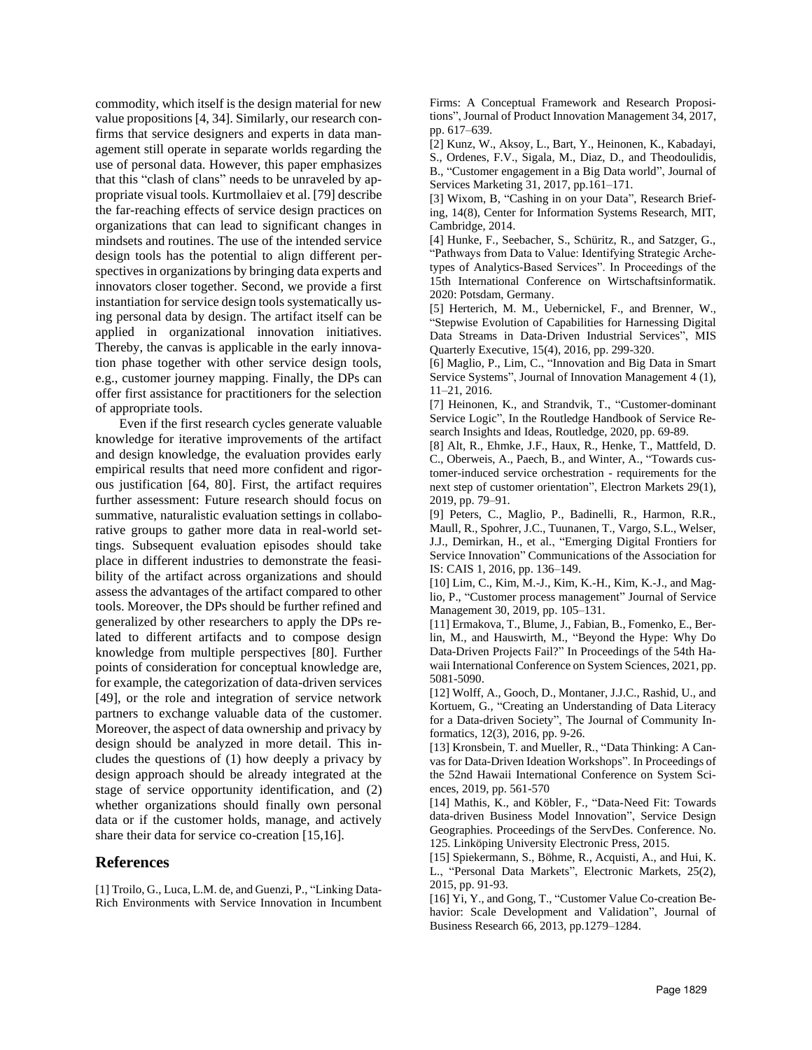commodity, which itself is the design material for new value propositions [4, 34]. Similarly, our research confirms that service designers and experts in data management still operate in separate worlds regarding the use of personal data. However, this paper emphasizes that this "clash of clans" needs to be unraveled by appropriate visual tools. Kurtmollaiev et al. [79] describe the far-reaching effects of service design practices on organizations that can lead to significant changes in mindsets and routines. The use of the intended service design tools has the potential to align different perspectives in organizations by bringing data experts and innovators closer together. Second, we provide a first instantiation for service design tools systematically using personal data by design. The artifact itself can be applied in organizational innovation initiatives. Thereby, the canvas is applicable in the early innovation phase together with other service design tools, e.g., customer journey mapping. Finally, the DPs can offer first assistance for practitioners for the selection of appropriate tools.

Even if the first research cycles generate valuable knowledge for iterative improvements of the artifact and design knowledge, the evaluation provides early empirical results that need more confident and rigorous justification [64, 80]. First, the artifact requires further assessment: Future research should focus on summative, naturalistic evaluation settings in collaborative groups to gather more data in real-world settings. Subsequent evaluation episodes should take place in different industries to demonstrate the feasibility of the artifact across organizations and should assess the advantages of the artifact compared to other tools. Moreover, the DPs should be further refined and generalized by other researchers to apply the DPs related to different artifacts and to compose design knowledge from multiple perspectives [80]. Further points of consideration for conceptual knowledge are, for example, the categorization of data-driven services [49], or the role and integration of service network partners to exchange valuable data of the customer. Moreover, the aspect of data ownership and privacy by design should be analyzed in more detail. This includes the questions of (1) how deeply a privacy by design approach should be already integrated at the stage of service opportunity identification, and (2) whether organizations should finally own personal data or if the customer holds, manage, and actively share their data for service co-creation [15,16].

## **References**

[1] Troilo, G., Luca, L.M. de, and Guenzi, P., "Linking Data-Rich Environments with Service Innovation in Incumbent Firms: A Conceptual Framework and Research Propositions", Journal of Product Innovation Management 34, 2017, pp. 617–639.

[2] Kunz, W., Aksoy, L., Bart, Y., Heinonen, K., Kabadayi,

S., Ordenes, F.V., Sigala, M., Diaz, D., and Theodoulidis, B., "Customer engagement in a Big Data world", Journal of Services Marketing 31, 2017, pp.161–171.

[3] Wixom, B, "Cashing in on your Data", Research Briefing, 14(8), Center for Information Systems Research, MIT, Cambridge, 2014.

[4] Hunke, F., Seebacher, S., Schüritz, R., and Satzger, G., "Pathways from Data to Value: Identifying Strategic Archetypes of Analytics-Based Services". In Proceedings of the 15th International Conference on Wirtschaftsinformatik. 2020: Potsdam, Germany.

[5] Herterich, M. M., Uebernickel, F., and Brenner, W., "Stepwise Evolution of Capabilities for Harnessing Digital Data Streams in Data-Driven Industrial Services", MIS Quarterly Executive, 15(4), 2016, pp. 299-320.

[6] Maglio, P., Lim, C., "Innovation and Big Data in Smart Service Systems", Journal of Innovation Management 4 (1), 11–21, 2016.

[7] Heinonen, K., and Strandvik, T., "Customer-dominant Service Logic", In the Routledge Handbook of Service Research Insights and Ideas, Routledge, 2020, pp. 69-89.

[8] Alt, R., Ehmke, J.F., Haux, R., Henke, T., Mattfeld, D. C., Oberweis, A., Paech, B., and Winter, A., "Towards customer-induced service orchestration - requirements for the next step of customer orientation", Electron Markets 29(1), 2019, pp. 79–91.

[9] Peters, C., Maglio, P., Badinelli, R., Harmon, R.R., Maull, R., Spohrer, J.C., Tuunanen, T., Vargo, S.L., Welser, J.J., Demirkan, H., et al., "Emerging Digital Frontiers for Service Innovation" Communications of the Association for IS: CAIS 1, 2016, pp. 136–149.

[10] Lim, C., Kim, M.-J., Kim, K.-H., Kim, K.-J., and Maglio, P., "Customer process management" Journal of Service Management 30, 2019, pp. 105–131.

[11] Ermakova, T., Blume, J., Fabian, B., Fomenko, E., Berlin, M., and Hauswirth, M., "Beyond the Hype: Why Do Data-Driven Projects Fail?" In Proceedings of the 54th Hawaii International Conference on System Sciences, 2021, pp. 5081-5090.

[12] Wolff, A., Gooch, D., Montaner, J.J.C., Rashid, U., and Kortuem, G., "Creating an Understanding of Data Literacy for a Data-driven Society", The Journal of Community Informatics, 12(3), 2016, pp. 9-26.

[13] Kronsbein, T. and Mueller, R., "Data Thinking: A Canvas for Data-Driven Ideation Workshops". In Proceedings of the 52nd Hawaii International Conference on System Sciences, 2019, pp. 561-570

[14] Mathis, K., and Köbler, F., "Data-Need Fit: Towards data-driven Business Model Innovation", Service Design Geographies. Proceedings of the ServDes. Conference. No. 125. Linköping University Electronic Press, 2015.

[15] Spiekermann, S., Böhme, R., Acquisti, A., and Hui, K. L., "Personal Data Markets", Electronic Markets, 25(2), 2015, pp. 91-93.

[16] Yi, Y., and Gong, T., "Customer Value Co-creation Behavior: Scale Development and Validation", Journal of Business Research 66, 2013, pp.1279–1284.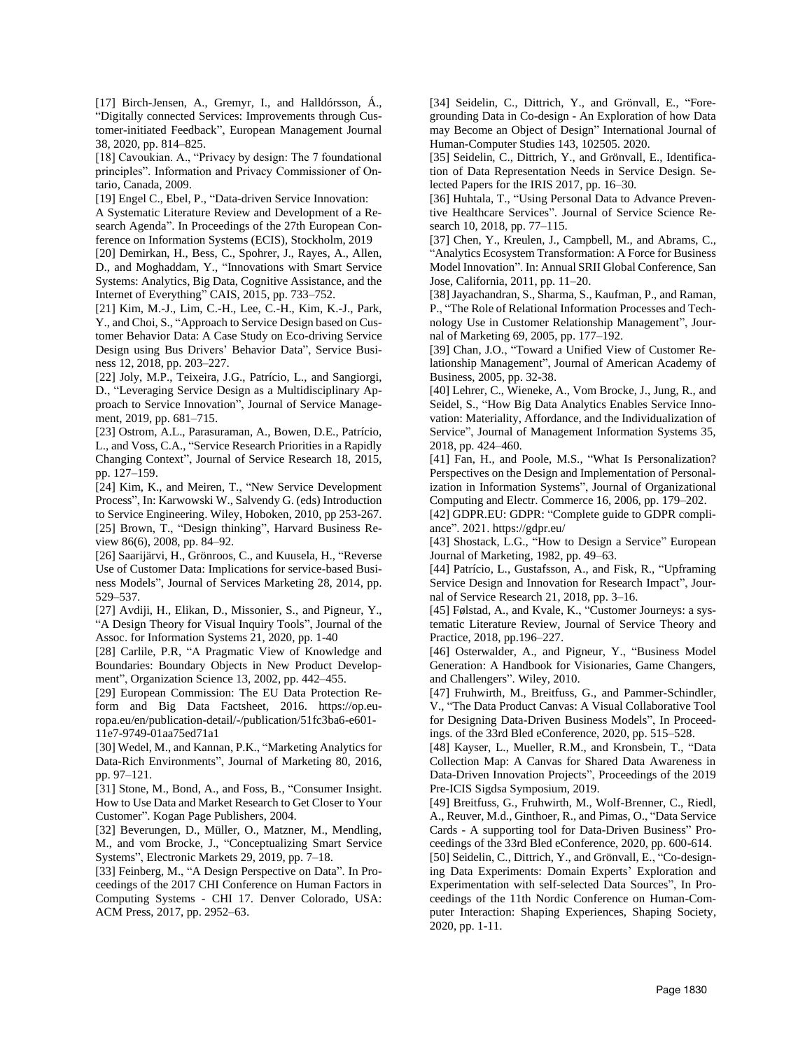[17] Birch-Jensen, A., Gremyr, I., and Halldórsson, Á., "Digitally connected Services: Improvements through Customer-initiated Feedback", European Management Journal 38, 2020, pp. 814–825.

[18] Cavoukian. A., "Privacy by design: The 7 foundational principles". Information and Privacy Commissioner of Ontario, Canada, 2009.

[19] Engel C., Ebel, P., "Data-driven Service Innovation:

A Systematic Literature Review and Development of a Research Agenda". In Proceedings of the 27th European Conference on Information Systems (ECIS), Stockholm, 2019

[20] Demirkan, H., Bess, C., Spohrer, J., Rayes, A., Allen, D., and Moghaddam, Y., "Innovations with Smart Service Systems: Analytics, Big Data, Cognitive Assistance, and the Internet of Everything" CAIS, 2015, pp. 733–752.

[21] Kim, M.-J., Lim, C.-H., Lee, C.-H., Kim, K.-J., Park, Y., and Choi, S., "Approach to Service Design based on Customer Behavior Data: A Case Study on Eco-driving Service Design using Bus Drivers' Behavior Data", Service Business 12, 2018, pp. 203–227.

[22] Joly, M.P., Teixeira, J.G., Patrício, L., and Sangiorgi, D., "Leveraging Service Design as a Multidisciplinary Approach to Service Innovation", Journal of Service Management, 2019, pp. 681–715.

[23] Ostrom, A.L., Parasuraman, A., Bowen, D.E., Patrício, L., and Voss, C.A., "Service Research Priorities in a Rapidly Changing Context", Journal of Service Research 18, 2015, pp. 127–159.

[24] Kim, K., and Meiren, T., "New Service Development Process", In: Karwowski W., Salvendy G. (eds) Introduction to Service Engineering. Wiley, Hoboken, 2010, pp 253-267. [25] Brown, T., "Design thinking", Harvard Business Review 86(6), 2008, pp. 84–92.

[26] Saarijärvi, H., Grönroos, C., and Kuusela, H., "Reverse Use of Customer Data: Implications for service-based Business Models", Journal of Services Marketing 28, 2014, pp. 529–537.

[27] Avdiji, H., Elikan, D., Missonier, S., and Pigneur, Y., "A Design Theory for Visual Inquiry Tools", Journal of the Assoc. for Information Systems 21, 2020, pp. 1-40

[28] Carlile, P.R, "A Pragmatic View of Knowledge and Boundaries: Boundary Objects in New Product Development", Organization Science 13, 2002, pp. 442–455.

[29] European Commission: The EU Data Protection Reform and Big Data Factsheet, 2016. https://op.europa.eu/en/publication-detail/-/publication/51fc3ba6-e601- 11e7-9749-01aa75ed71a1

[30] Wedel, M., and Kannan, P.K., "Marketing Analytics for Data-Rich Environments", Journal of Marketing 80, 2016, pp. 97–121.

[31] Stone, M., Bond, A., and Foss, B., "Consumer Insight. How to Use Data and Market Research to Get Closer to Your Customer". Kogan Page Publishers, 2004.

[32] Beverungen, D., Müller, O., Matzner, M., Mendling, M., and vom Brocke, J., "Conceptualizing Smart Service Systems", Electronic Markets 29, 2019, pp. 7–18.

[33] Feinberg, M., "A Design Perspective on Data". In Proceedings of the 2017 CHI Conference on Human Factors in Computing Systems - CHI 17. Denver Colorado, USA: ACM Press, 2017, pp. 2952–63.

[34] Seidelin, C., Dittrich, Y., and Grönvall, E., "Foregrounding Data in Co-design - An Exploration of how Data may Become an Object of Design" International Journal of Human-Computer Studies 143, 102505. 2020.

[35] Seidelin, C., Dittrich, Y., and Grönvall, E., Identification of Data Representation Needs in Service Design. Selected Papers for the IRIS 2017, pp. 16–30.

[36] Huhtala, T., "Using Personal Data to Advance Preventive Healthcare Services". Journal of Service Science Research 10, 2018, pp. 77–115.

[37] Chen, Y., Kreulen, J., Campbell, M., and Abrams, C., "Analytics Ecosystem Transformation: A Force for Business Model Innovation". In: Annual SRII Global Conference, San Jose, California, 2011, pp. 11–20.

[38] Jayachandran, S., Sharma, S., Kaufman, P., and Raman, P., "The Role of Relational Information Processes and Technology Use in Customer Relationship Management", Journal of Marketing 69, 2005, pp. 177–192.

[39] Chan, J.O., "Toward a Unified View of Customer Relationship Management", Journal of American Academy of Business, 2005, pp. 32-38.

[40] Lehrer, C., Wieneke, A., Vom Brocke, J., Jung, R., and Seidel, S., "How Big Data Analytics Enables Service Innovation: Materiality, Affordance, and the Individualization of Service", Journal of Management Information Systems 35, 2018, pp. 424–460.

[41] Fan, H., and Poole, M.S., "What Is Personalization? Perspectives on the Design and Implementation of Personalization in Information Systems", Journal of Organizational Computing and Electr. Commerce 16, 2006, pp. 179–202.

[42] GDPR.EU: GDPR: "Complete guide to GDPR compliance". 2021[. https://gdpr.eu/](https://gdpr.eu/)

[43] Shostack, L.G., "How to Design a Service" European Journal of Marketing, 1982, pp. 49–63.

[44] Patrício, L., Gustafsson, A., and Fisk, R., "Upframing Service Design and Innovation for Research Impact", Journal of Service Research 21, 2018, pp. 3–16.

[45] Følstad, A., and Kvale, K., "Customer Journeys: a systematic Literature Review, Journal of Service Theory and Practice, 2018, pp.196–227.

[46] Osterwalder, A., and Pigneur, Y., "Business Model Generation: A Handbook for Visionaries, Game Changers, and Challengers". Wiley, 2010.

[47] Fruhwirth, M., Breitfuss, G., and Pammer-Schindler, V., "The Data Product Canvas: A Visual Collaborative Tool for Designing Data-Driven Business Models", In Proceedings. of the 33rd Bled eConference, 2020, pp. 515–528.

[48] Kayser, L., Mueller, R.M., and Kronsbein, T., "Data Collection Map: A Canvas for Shared Data Awareness in Data-Driven Innovation Projects", Proceedings of the 2019 Pre-ICIS Sigdsa Symposium, 2019.

[49] Breitfuss, G., Fruhwirth, M., Wolf-Brenner, C., Riedl, A., Reuver, M.d., Ginthoer, R., and Pimas, O., "Data Service Cards - A supporting tool for Data-Driven Business" Proceedings of the 33rd Bled eConference, 2020, pp. 600-614.

[50] Seidelin, C., Dittrich, Y., and Grönvall, E., "Co-designing Data Experiments: Domain Experts' Exploration and Experimentation with self-selected Data Sources", In Proceedings of the 11th Nordic Conference on Human-Computer Interaction: Shaping Experiences, Shaping Society, 2020, pp. 1-11.